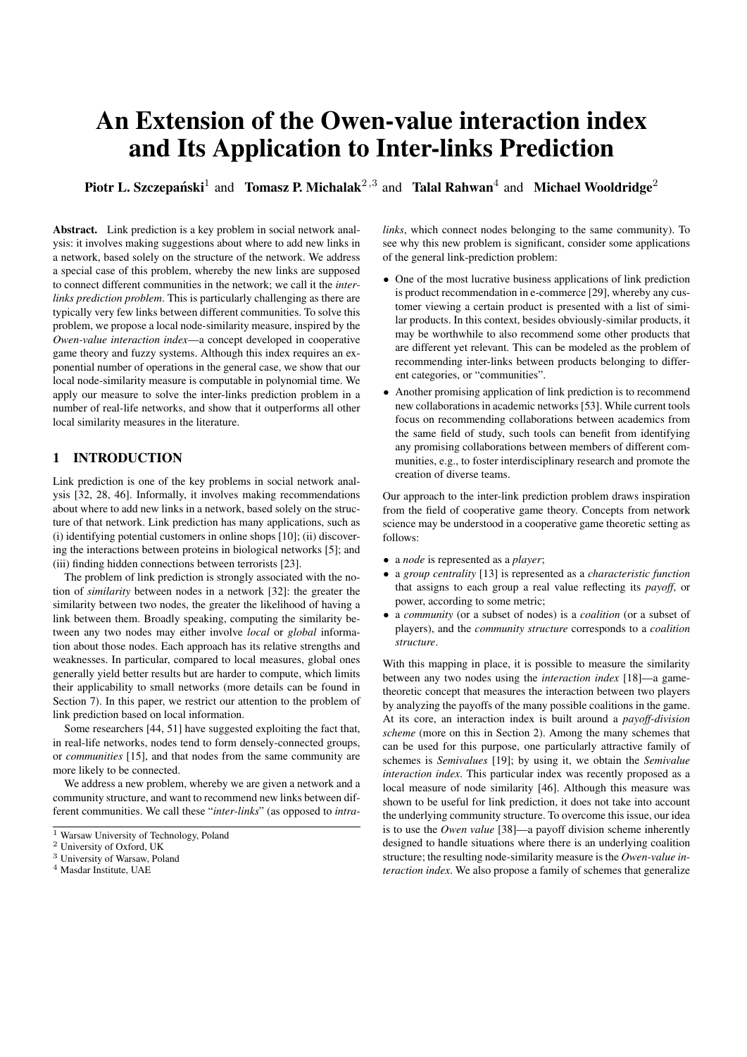# An Extension of the Owen-value interaction index and Its Application to Inter-links Prediction

Piotr L. Szczepański<sup>1</sup> and Tomasz P. Michalak<sup>2,3</sup> and Talal Rahwan<sup>4</sup> and Michael Wooldridge<sup>2</sup>

Abstract. Link prediction is a key problem in social network analysis: it involves making suggestions about where to add new links in a network, based solely on the structure of the network. We address a special case of this problem, whereby the new links are supposed to connect different communities in the network; we call it the *interlinks prediction problem*. This is particularly challenging as there are typically very few links between different communities. To solve this problem, we propose a local node-similarity measure, inspired by the *Owen-value interaction index*—a concept developed in cooperative game theory and fuzzy systems. Although this index requires an exponential number of operations in the general case, we show that our local node-similarity measure is computable in polynomial time. We apply our measure to solve the inter-links prediction problem in a number of real-life networks, and show that it outperforms all other local similarity measures in the literature.

## 1 INTRODUCTION

Link prediction is one of the key problems in social network analysis [32, 28, 46]. Informally, it involves making recommendations about where to add new links in a network, based solely on the structure of that network. Link prediction has many applications, such as (i) identifying potential customers in online shops [10]; (ii) discovering the interactions between proteins in biological networks [5]; and (iii) finding hidden connections between terrorists [23].

The problem of link prediction is strongly associated with the notion of *similarity* between nodes in a network [32]: the greater the similarity between two nodes, the greater the likelihood of having a link between them. Broadly speaking, computing the similarity between any two nodes may either involve *local* or *global* information about those nodes. Each approach has its relative strengths and weaknesses. In particular, compared to local measures, global ones generally yield better results but are harder to compute, which limits their applicability to small networks (more details can be found in Section 7). In this paper, we restrict our attention to the problem of link prediction based on local information.

Some researchers [44, 51] have suggested exploiting the fact that, in real-life networks, nodes tend to form densely-connected groups, or *communities* [15], and that nodes from the same community are more likely to be connected.

We address a new problem, whereby we are given a network and a community structure, and want to recommend new links between different communities. We call these "*inter-links*" (as opposed to *intra-* *links*, which connect nodes belonging to the same community). To see why this new problem is significant, consider some applications of the general link-prediction problem:

- One of the most lucrative business applications of link prediction is product recommendation in e-commerce [29], whereby any customer viewing a certain product is presented with a list of similar products. In this context, besides obviously-similar products, it may be worthwhile to also recommend some other products that are different yet relevant. This can be modeled as the problem of recommending inter-links between products belonging to different categories, or "communities".
- Another promising application of link prediction is to recommend new collaborations in academic networks [53]. While current tools focus on recommending collaborations between academics from the same field of study, such tools can benefit from identifying any promising collaborations between members of different communities, e.g., to foster interdisciplinary research and promote the creation of diverse teams.

Our approach to the inter-link prediction problem draws inspiration from the field of cooperative game theory. Concepts from network science may be understood in a cooperative game theoretic setting as follows:

- a *node* is represented as a *player*;
- a *group centrality* [13] is represented as a *characteristic function* that assigns to each group a real value reflecting its *payoff*, or power, according to some metric;
- a *community* (or a subset of nodes) is a *coalition* (or a subset of players), and the *community structure* corresponds to a *coalition structure*.

With this mapping in place, it is possible to measure the similarity between any two nodes using the *interaction index* [18]—a gametheoretic concept that measures the interaction between two players by analyzing the payoffs of the many possible coalitions in the game. At its core, an interaction index is built around a *payoff-division scheme* (more on this in Section 2). Among the many schemes that can be used for this purpose, one particularly attractive family of schemes is *Semivalues* [19]; by using it, we obtain the *Semivalue interaction index*. This particular index was recently proposed as a local measure of node similarity [46]. Although this measure was shown to be useful for link prediction, it does not take into account the underlying community structure. To overcome this issue, our idea is to use the *Owen value* [38]—a payoff division scheme inherently designed to handle situations where there is an underlying coalition structure; the resulting node-similarity measure is the *Owen-value interaction index*. We also propose a family of schemes that generalize

<sup>&</sup>lt;sup>1</sup> Warsaw University of Technology, Poland

<sup>2</sup> University of Oxford, UK

<sup>3</sup> University of Warsaw, Poland

<sup>4</sup> Masdar Institute, UAE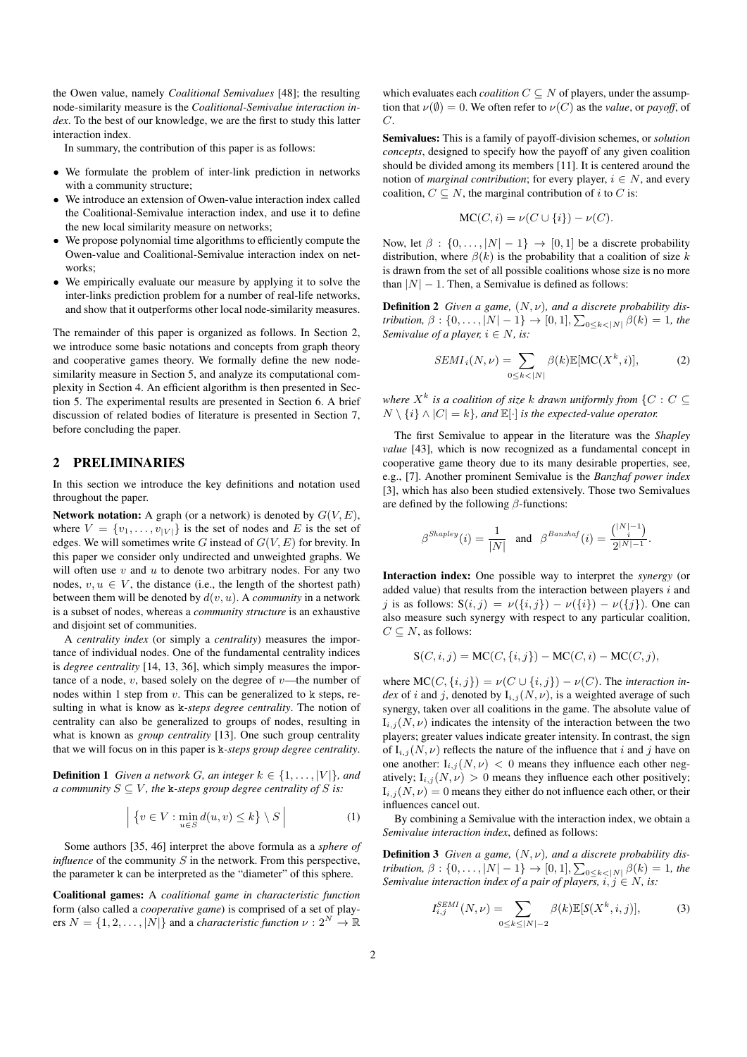the Owen value, namely *Coalitional Semivalues* [48]; the resulting node-similarity measure is the *Coalitional-Semivalue interaction index*. To the best of our knowledge, we are the first to study this latter interaction index.

In summary, the contribution of this paper is as follows:

- We formulate the problem of inter-link prediction in networks with a community structure;
- We introduce an extension of Owen-value interaction index called the Coalitional-Semivalue interaction index, and use it to define the new local similarity measure on networks;
- We propose polynomial time algorithms to efficiently compute the Owen-value and Coalitional-Semivalue interaction index on networks;
- We empirically evaluate our measure by applying it to solve the inter-links prediction problem for a number of real-life networks, and show that it outperforms other local node-similarity measures.

The remainder of this paper is organized as follows. In Section 2, we introduce some basic notations and concepts from graph theory and cooperative games theory. We formally define the new nodesimilarity measure in Section 5, and analyze its computational complexity in Section 4. An efficient algorithm is then presented in Section 5. The experimental results are presented in Section 6. A brief discussion of related bodies of literature is presented in Section 7, before concluding the paper.

## 2 PRELIMINARIES

In this section we introduce the key definitions and notation used throughout the paper.

Network notation: A graph (or a network) is denoted by  $G(V, E)$ , where  $V = \{v_1, \ldots, v_{|V|}\}\$ is the set of nodes and E is the set of edges. We will sometimes write G instead of  $G(V, E)$  for brevity. In this paper we consider only undirected and unweighted graphs. We will often use  $v$  and  $u$  to denote two arbitrary nodes. For any two nodes,  $v, u \in V$ , the distance (i.e., the length of the shortest path) between them will be denoted by  $d(v, u)$ . A *community* in a network is a subset of nodes, whereas a *community structure* is an exhaustive and disjoint set of communities.

A *centrality index* (or simply a *centrality*) measures the importance of individual nodes. One of the fundamental centrality indices is *degree centrality* [14, 13, 36], which simply measures the importance of a node,  $v$ , based solely on the degree of  $v$ —the number of nodes within 1 step from  $v$ . This can be generalized to k steps, resulting in what is know as k*-steps degree centrality*. The notion of centrality can also be generalized to groups of nodes, resulting in what is known as *group centrality* [13]. One such group centrality that we will focus on in this paper is k*-steps group degree centrality*.

**Definition 1** *Given a network G, an integer*  $k \in \{1, \ldots, |V|\}$ *, and a community*  $S \subseteq V$ *, the k-steps group degree centrality of* S *is:* 

$$
\left| \left\{ v \in V : \min_{u \in S} d(u, v) \le k \right\} \setminus S \right| \tag{1}
$$

Some authors [35, 46] interpret the above formula as a *sphere of influence* of the community  $S$  in the network. From this perspective, the parameter k can be interpreted as the "diameter" of this sphere.

Coalitional games: A *coalitional game in characteristic function* form (also called a *cooperative game*) is comprised of a set of players  $N = \{1, 2, ..., |N|\}$  and a *characteristic function*  $\nu : 2^N \to \mathbb{R}$ 

which evaluates each *coalition*  $C \subseteq N$  of players, under the assumption that  $\nu(\emptyset) = 0$ . We often refer to  $\nu(C)$  as the *value*, or *payoff*, of C.

Semivalues: This is a family of payoff-division schemes, or *solution concepts*, designed to specify how the payoff of any given coalition should be divided among its members [11]. It is centered around the notion of *marginal contribution*; for every player,  $i \in N$ , and every coalition,  $C \subseteq N$ , the marginal contribution of i to C is:

$$
\text{MC}(C, i) = \nu(C \cup \{i\}) - \nu(C).
$$

Now, let  $\beta : \{0, \ldots, |N| - 1\} \rightarrow [0, 1]$  be a discrete probability distribution, where  $\beta(k)$  is the probability that a coalition of size k is drawn from the set of all possible coalitions whose size is no more than  $|N| - 1$ . Then, a Semivalue is defined as follows:

Definition 2 *Given a game,* (N, ν)*, and a discrete probability distribution,*  $\beta : \{0, ..., |N| - 1\} \to [0, 1], \sum_{0 \leq k < |N|} \beta(k) = 1$ *, the Semivalue of a player,*  $i \in N$ *, is:* 

$$
SEMI_i(N,\nu) = \sum_{0 \le k < |N|} \beta(k) \mathbb{E}[\mathrm{MC}(X^k, i)],\tag{2}
$$

where  $X^k$  is a coalition of size k drawn uniformly from  $\{C: C \subseteq$  $N \setminus \{i\} \wedge |C| = k$ , and  $\mathbb{E}[\cdot]$  *is the expected-value operator.* 

The first Semivalue to appear in the literature was the *Shapley value* [43], which is now recognized as a fundamental concept in cooperative game theory due to its many desirable properties, see, e.g., [7]. Another prominent Semivalue is the *Banzhaf power index* [3], which has also been studied extensively. Those two Semivalues are defined by the following  $\beta$ -functions:

$$
\beta^{Shapley}(i) = \frac{1}{|N|} \quad \text{and} \quad \beta^{Banzhaf}(i) = \frac{\binom{|N|-1}{i}}{2^{|N|-1}}.
$$

Interaction index: One possible way to interpret the *synergy* (or added value) that results from the interaction between players  $i$  and j is as follows:  $S(i, j) = \nu({i, j}) - \nu({i}) - \nu({j}).$  One can also measure such synergy with respect to any particular coalition,  $C \subseteq N$ , as follows:

$$
S(C, i, j) = MC(C, \{i, j\}) - MC(C, i) - MC(C, j),
$$

where  $MC(C, \{i, j\}) = \nu(C \cup \{i, j\}) - \nu(C)$ . The *interaction index* of i and j, denoted by  $I_{i,j}(N, \nu)$ , is a weighted average of such synergy, taken over all coalitions in the game. The absolute value of  $I_{i,j}(N, \nu)$  indicates the intensity of the interaction between the two players; greater values indicate greater intensity. In contrast, the sign of  $I_{i,j}(N, \nu)$  reflects the nature of the influence that i and j have on one another:  $I_{i,j}(N,\nu) < 0$  means they influence each other negatively;  $I_{i,j}(N, \nu) > 0$  means they influence each other positively;  $I_{i,j}(N,\nu) = 0$  means they either do not influence each other, or their influences cancel out.

By combining a Semivalue with the interaction index, we obtain a *Semivalue interaction index*, defined as follows:

Definition 3 *Given a game,* (N, ν)*, and a discrete probability distribution,*  $\beta : \{0, ..., |N| - 1\} \to [0, 1], \sum_{0 \leq k < |N|} \beta(k) = 1$ , the *Semivalue interaction index of a pair of players,*  $i, j \in N$ , is:

$$
I_{i,j}^{SEMI}(N,\nu) = \sum_{0 \le k \le |N|-2} \beta(k) \mathbb{E}[S(X^k, i, j)],\tag{3}
$$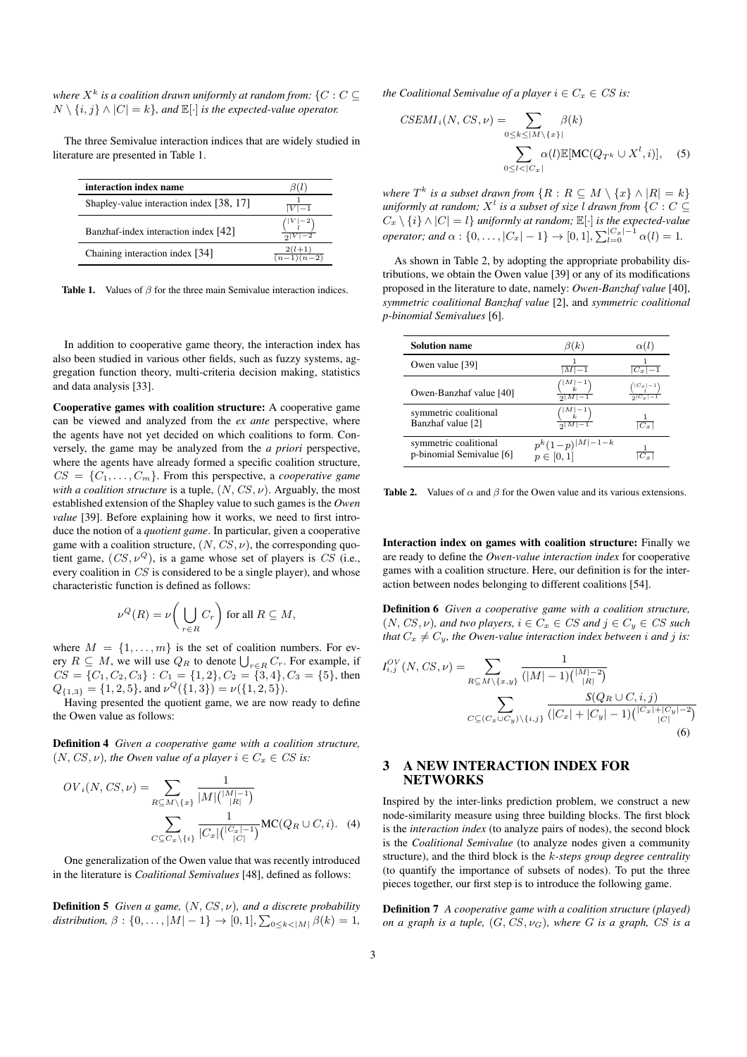where  $X^k$  is a coalition drawn uniformly at random from:  $\{C: C \subseteq$  $N \setminus \{i, j\} \wedge |C| = k$ , and  $\mathbb{E}[\cdot]$  *is the expected-value operator.* 

The three Semivalue interaction indices that are widely studied in literature are presented in Table 1.

| interaction index name                   |                                     |
|------------------------------------------|-------------------------------------|
| Shapley-value interaction index [38, 17] | $ V -1$                             |
| Banzhaf-index interaction index [42]     | $\binom{ V -2}{l}$                  |
| Chaining interaction index [34]          | $2(l+1)$<br>$\overline{(n-1)(n-2)}$ |

Table 1. Values of β for the three main Semivalue interaction indices.

In addition to cooperative game theory, the interaction index has also been studied in various other fields, such as fuzzy systems, aggregation function theory, multi-criteria decision making, statistics and data analysis [33].

Cooperative games with coalition structure: A cooperative game can be viewed and analyzed from the *ex ante* perspective, where the agents have not yet decided on which coalitions to form. Conversely, the game may be analyzed from the *a priori* perspective, where the agents have already formed a specific coalition structure,  $CS = \{C_1, \ldots, C_m\}$ . From this perspective, a *cooperative game with a coalition structure* is a tuple,  $(N, CS, \nu)$ . Arguably, the most established extension of the Shapley value to such games is the *Owen value* [39]. Before explaining how it works, we need to first introduce the notion of a *quotient game*. In particular, given a cooperative game with a coalition structure,  $(N, CS, \nu)$ , the corresponding quotient game,  $(CS, \nu^Q)$ , is a game whose set of players is CS (i.e., every coalition in CS is considered to be a single player), and whose characteristic function is defined as follows:

$$
\nu^{Q}(R) = \nu\bigg(\bigcup_{r \in R} C_r\bigg) \text{ for all } R \subseteq M,
$$

where  $M = \{1, \ldots, m\}$  is the set of coalition numbers. For every  $R \subseteq M$ , we will use  $Q_R$  to denote  $\bigcup_{r \in R} C_r$ . For example, if  $CS = \{C_1, C_2, C_3\} : C_1 = \{1, 2\}, C_2 = \{3, 4\}, C_3 = \{5\}$ , then  $Q_{\{1,3\}} = \{1,2,5\}$ , and  $\nu^Q(\{1,3\}) = \nu(\{1,2,5\})$ .

Having presented the quotient game, we are now ready to define the Owen value as follows:

Definition 4 *Given a cooperative game with a coalition structure,*  $(N, CS, \nu)$ *, the Owen value of a player*  $i \in C_x \in CS$  *is:* 

$$
OV_i(N, CS, \nu) = \sum_{R \subseteq M \setminus \{x\}} \frac{1}{|M| {|\nu|-1 \choose |R|}}
$$

$$
\sum_{C \subseteq C_x \setminus \{i\}} \frac{1}{|C_x| {|\nu|-1 \choose |C|}} MC(Q_R \cup C, i). \quad (4)
$$

One generalization of the Owen value that was recently introduced in the literature is *Coalitional Semivalues* [48], defined as follows:

Definition 5 *Given a game,* (N, CS, ν)*, and a discrete probability* distribution,  $\beta: \{0, \ldots, |M|-1\} \to [0,1], \sum_{0 \leq k < |M|} \beta(k) = 1$ ,

*the Coalitional Semivalue of a player*  $i \in C_x \in CS$  *is:* 

$$
CSEMI_i(N, CS, \nu) = \sum_{0 \le k \le |M \setminus \{x\}|} \beta(k)
$$

$$
\sum_{0 \le l < |C_x|} \alpha(l) \mathbb{E}[\text{MC}(Q_{T^k} \cup X^l, i)], \quad (5)
$$

*where*  $T^k$  *is a subset drawn from*  $\{R : R \subseteq M \setminus \{x\} \wedge |R| = k\}$ uniformly at random;  $X^l$  is a subset of size l drawn from  $\{C: C \subseteq$  $C_x \setminus \{i\} \wedge |C| = l$ } *uniformly at random;*  $\mathbb{E}[\cdot]$  *is the expected-value operator; and*  $\alpha$  : {0, ..., | $C_x$ | -1}  $\rightarrow$  [0, 1],  $\sum_{l=0}^{C_x-1} \alpha(l) = 1$ .

As shown in Table 2, by adopting the appropriate probability distributions, we obtain the Owen value [39] or any of its modifications proposed in the literature to date, namely: *Owen-Banzhaf value* [40], *symmetric coalitional Banzhaf value* [2], and *symmetric coalitional p-binomial Semivalues* [6].

| <b>Solution name</b>                              | $\beta(k)$                            | $\alpha(l)$                        |
|---------------------------------------------------|---------------------------------------|------------------------------------|
| Owen value [39]                                   | $\overline{ M -1}$                    | $ C_x\overline{-1}$                |
| Owen-Banzhaf value [40]                           | $\frac{\binom{ M -1}{k}}{2^{ M -1}}$  | $\binom{ C_x -1}{l}$<br>$2 C_x -1$ |
| symmetric coalitional<br>Banzhaf value [2]        | $\frac{\binom{ M -1}{k}}{2^{ M -1}}$  | $ C_r $                            |
| symmetric coalitional<br>p-binomial Semivalue [6] | $p^{k}(1-p)^{ M -1-k}$<br>$p\in[0,1]$ |                                    |

**Table 2.** Values of  $\alpha$  and  $\beta$  for the Owen value and its various extensions.

Interaction index on games with coalition structure: Finally we are ready to define the *Owen-value interaction index* for cooperative games with a coalition structure. Here, our definition is for the interaction between nodes belonging to different coalitions [54].

Definition 6 *Given a cooperative game with a coalition structure,*  $(N, CS, \nu)$ *, and two players,*  $i \in C_x \in CS$  *and*  $j \in C_y \in CS$  *such that*  $C_x \neq C_y$ *, the Owen-value interaction index between i and j is:* 

$$
I_{i,j}^{OV}(N, CS, \nu) = \sum_{R \subseteq M \setminus \{x,y\}} \frac{1}{(|M|-1) {|\mathcal{M}|-2 \choose |R|}}
$$

$$
\sum_{C \subseteq (C_x \cup C_y) \setminus \{i,j\}} \frac{S(Q_R \cup C, i, j)}{(|C_x| + |C_y| - 1) {|\mathcal{C}_x| + |\mathcal{C}_y| - 2 \choose |C|}}
$$
(6)

## 3 A NEW INTERACTION INDEX FOR **NETWORKS**

Inspired by the inter-links prediction problem, we construct a new node-similarity measure using three building blocks. The first block is the *interaction index* (to analyze pairs of nodes), the second block is the *Coalitional Semivalue* (to analyze nodes given a community structure), and the third block is the k*-steps group degree centrality* (to quantify the importance of subsets of nodes). To put the three pieces together, our first step is to introduce the following game.

Definition 7 *A cooperative game with a coalition structure (played) on a graph is a tuple,*  $(G, CS, \nu_G)$ *, where* G *is a graph,* CS *is a*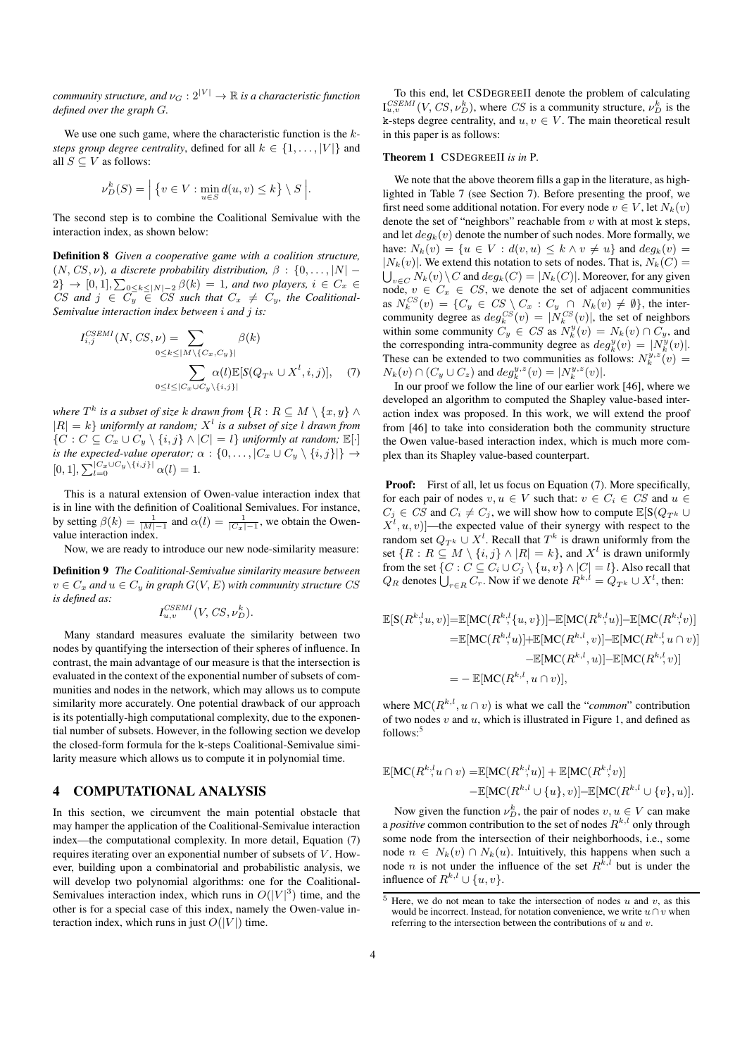*community structure, and*  $\nu_G : 2^{|V|} \to \mathbb{R}$  *is a characteristic function defined over the graph* G*.*

We use one such game, where the characteristic function is the k*steps group degree centrality*, defined for all  $k \in \{1, \ldots, |V|\}$  and all  $S \subseteq V$  as follows:

$$
\nu_D^k(S) = \Big| \{ v \in V : \min_{u \in S} d(u, v) \le k \} \setminus S \Big|.
$$

The second step is to combine the Coalitional Semivalue with the interaction index, as shown below:

Definition 8 *Given a cooperative game with a coalition structure,*  $(N, CS, \nu)$ , a discrete probability distribution,  $\beta : \{0, \ldots, |N| - \ell\}$  $2\} \rightarrow [0,1], \sum_{0 \leq k \leq |N|-2} \beta(k) = 1$ , and two players,  $i \in C_x \in$ CS and  $j \in C_y \in CS$  such that  $C_x \neq C_y$ , the Coalitional-*Semivalue interaction index between* i *and* j *is:*

$$
I_{i,j}^{CSEMI}(N, CS, \nu) = \sum_{0 \le k \le |M \setminus \{C_x, C_y\}|} \beta(k)
$$

$$
\sum_{0 \le l \le |C_x \cup C_y \setminus \{i,j\}|} \alpha(l) \mathbb{E}[S(Q_{T^k} \cup X^l, i, j)], \quad (7)
$$

where  $T^k$  is a subset of size  $k$  drawn from  $\{R: R \subseteq M \setminus \{x, y\} \wedge p\}$  $|R| = k$ } *uniformly at random;*  $X<sup>l</sup>$  *is a subset of size l drawn from*  ${C : C \subseteq C_x \cup C_y \setminus \{i, j\} \land |C| = l}$  *uniformly at random;*  $\mathbb{E}[\cdot]$ *is the expected-value operator;*  $\alpha$  :  $\{0, \ldots, |C_x \cup C_y \setminus \{i, j\}|\} \rightarrow$  $[0, 1], \sum_{l=0}^{|C_x \cup C_y \setminus \{i, j\}|} \alpha(l) = 1.$ 

This is a natural extension of Owen-value interaction index that is in line with the definition of Coalitional Semivalues. For instance, by setting  $\beta(k) = \frac{1}{|M|-1}$  and  $\alpha(l) = \frac{1}{|C_x|-1}$ , we obtain the Owenvalue interaction index.

Now, we are ready to introduce our new node-similarity measure:

Definition 9 *The Coalitional-Semivalue similarity measure between*  $v \in C_x$  and  $u \in C_y$  in graph  $G(V, E)$  with community structure CS *is defined as:*

$$
I_{u,v}^{CSEMI}(V, CS, \nu_D^k).
$$

Many standard measures evaluate the similarity between two nodes by quantifying the intersection of their spheres of influence. In contrast, the main advantage of our measure is that the intersection is evaluated in the context of the exponential number of subsets of communities and nodes in the network, which may allows us to compute similarity more accurately. One potential drawback of our approach is its potentially-high computational complexity, due to the exponential number of subsets. However, in the following section we develop the closed-form formula for the k-steps Coalitional-Semivalue similarity measure which allows us to compute it in polynomial time.

## 4 COMPUTATIONAL ANALYSIS

In this section, we circumvent the main potential obstacle that may hamper the application of the Coalitional-Semivalue interaction index—the computational complexity. In more detail, Equation (7) requires iterating over an exponential number of subsets of  $V$ . However, building upon a combinatorial and probabilistic analysis, we will develop two polynomial algorithms: one for the Coalitional-Semivalues interaction index, which runs in  $O(|V|^3)$  time, and the other is for a special case of this index, namely the Owen-value interaction index, which runs in just  $O(|V|)$  time.

To this end, let CSDEGREEII denote the problem of calculating  $I_{u,v}^{CSEMI}(V, CS, \nu_D^k)$ , where CS is a community structure,  $\nu_D^k$  is the k-steps degree centrality, and  $u, v \in V$ . The main theoretical result in this paper is as follows:

#### Theorem 1 CSDEGREEII *is in* P*.*

We note that the above theorem fills a gap in the literature, as highlighted in Table 7 (see Section 7). Before presenting the proof, we first need some additional notation. For every node  $v \in V$ , let  $N_k(v)$ denote the set of "neighbors" reachable from  $v$  with at most k steps, and let  $deg_k(v)$  denote the number of such nodes. More formally, we have:  $N_k(v) = \{u \in V : d(v, u) \leq k \land v \neq u\}$  and  $deg_k(v) =$  $|N_k(v)|$ . We extend this notation to sets of nodes. That is,  $N_k(C)$  =  $\bigcup_{v \in C} N_k(v) \setminus C$  and  $deg_k(C) = |N_k(C)|$ . Moreover, for any given node,  $v \in C_x \in CS$ , we denote the set of adjacent communities as  $N_k^{CS}(v) = \{C_y \in CS \setminus C_x : C_y \cap N_k(v) \neq \emptyset\}$ , the intercommunity degree as  $deg_k^{CS}(v) = |N_k^{CS}(v)|$ , the set of neighbors within some community  $C_y \in CS$  as  $N_k^y(v) = N_k(v) \cap C_y$ , and the corresponding intra-community degree as  $deg_k^y(v) = |N_k^y(v)|$ . These can be extended to two communities as follows:  $N_k^{y,z}(v) =$  $N_k(v) \cap (C_y \cup C_z)$  and  $deg_k^{y,z}(v) = |N_k^{y,z}(v)|$ .

In our proof we follow the line of our earlier work [46], where we developed an algorithm to computed the Shapley value-based interaction index was proposed. In this work, we will extend the proof from [46] to take into consideration both the community structure the Owen value-based interaction index, which is much more complex than its Shapley value-based counterpart.

**Proof:** First of all, let us focus on Equation (7). More specifically, for each pair of nodes  $v, u \in V$  such that:  $v \in C_i \in CS$  and  $u \in$  $C_j \in CS$  and  $C_i \neq C_j$ , we will show how to compute  $\mathbb{E}[S(Q_{T^k} \cup$  $[X^l, u, v]$  —the expected value of their synergy with respect to the random set  $Q_{T^k} \cup X^l$ . Recall that  $T^k$  is drawn uniformly from the set  $\{R : R \subseteq M \setminus \{i, j\} \wedge |R| = k\}$ , and  $X<sup>l</sup>$  is drawn uniformly from the set  $\{C : C \subseteq C_i \cup C_j \setminus \{u, v\} \land |C| = l\}$ . Also recall that  $Q_R$  denotes  $\bigcup_{r \in R} C_r$ . Now if we denote  $R^{k,l} = Q_{T^k} \cup X^l$ , then:

$$
\mathbb{E}[S(R^{k,l}, u, v)] = \mathbb{E}[MC(R^{k,l}, u, v)] - \mathbb{E}[MC(R^{k,l}, u)] - \mathbb{E}[MC(R^{k,l}, v)]
$$
  
\n
$$
= \mathbb{E}[MC(R^{k,l}, u)] + \mathbb{E}[MC(R^{k,l}, v)] - \mathbb{E}[MC(R^{k,l}, u \cap v)]
$$
  
\n
$$
- \mathbb{E}[MC(R^{k,l}, u) - \mathbb{E}[MC(R^{k,l}, v)]]
$$
  
\n
$$
= - \mathbb{E}[MC(R^{k,l}, u \cap v)],
$$

where  $MC(R^{k,l}, u \cap v)$  is what we call the "*common*" contribution of two nodes  $v$  and  $u$ , which is illustrated in Figure 1, and defined as follows:<sup>5</sup>

$$
\mathbb{E}[\mathrm{MC}(R^{k,l}u \cap v) = \mathbb{E}[\mathrm{MC}(R^{k,l}u)] + \mathbb{E}[\mathrm{MC}(R^{k,l}v)]
$$
  
-
$$
\mathbb{E}[\mathrm{MC}(R^{k,l} \cup \{u\}, v)] - \mathbb{E}[\mathrm{MC}(R^{k,l} \cup \{v\}, u)].
$$

Now given the function  $\nu_D^k$ , the pair of nodes  $v, u \in V$  can make a *positive* common contribution to the set of nodes  $R^{k,l}$  only through some node from the intersection of their neighborhoods, i.e., some node  $n \in N_k(v) \cap N_k(u)$ . Intuitively, this happens when such a node *n* is not under the influence of the set  $R^{k,l}$  but is under the influence of  $R^{k,l} \cup \{u, v\}.$ 

 $\overline{5}$  Here, we do not mean to take the intersection of nodes u and v, as this would be incorrect. Instead, for notation convenience, we write  $u \cap v$  when referring to the intersection between the contributions of  $u$  and  $v$ .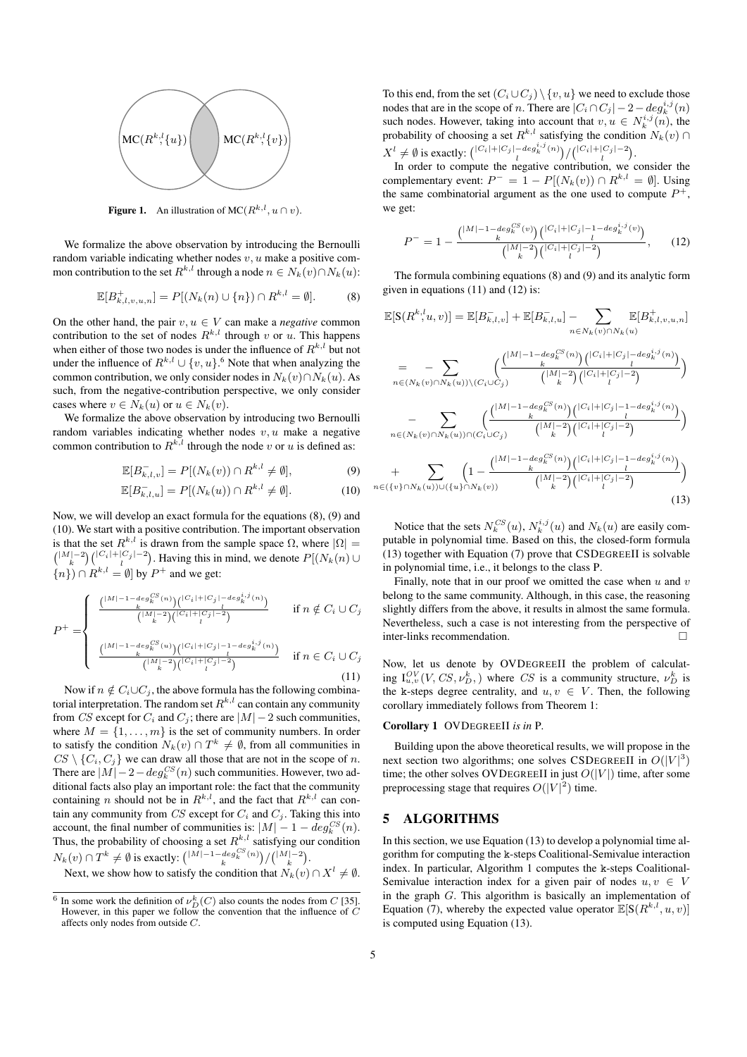

**Figure 1.** An illustration of MC( $R^{k,l}$ ,  $u \cap v$ ).

We formalize the above observation by introducing the Bernoulli random variable indicating whether nodes  $v, u$  make a positive common contribution to the set  $R^{k,l}$  through a node  $n \in N_k(v) \cap N_k(u)$ :

$$
\mathbb{E}[B_{k,l,v,u,n}^{+}] = P[(N_k(n) \cup \{n\}) \cap R^{k,l} = \emptyset].
$$
 (8)

On the other hand, the pair  $v, u \in V$  can make a *negative* common contribution to the set of nodes  $R^{k,l}$  through v or u. This happens when either of those two nodes is under the influence of  $R^{k,l}$  but not under the influence of  $R^{k,l} \cup \{v, u\}$ .<sup>6</sup> Note that when analyzing the common contribution, we only consider nodes in  $N_k(v) \cap N_k(u)$ . As such, from the negative-contribution perspective, we only consider cases where  $v \in N_k(u)$  or  $u \in N_k(v)$ .

We formalize the above observation by introducing two Bernoulli random variables indicating whether nodes  $v, u$  make a negative common contribution to  $R^{k,l}$  through the node v or u is defined as:

$$
\mathbb{E}[B_{k,l,v}^-] = P[(N_k(v)) \cap R^{k,l} \neq \emptyset],\tag{9}
$$

$$
\mathbb{E}[B_{k,l,u}^-] = P[(N_k(u)) \cap R^{k,l} \neq \emptyset].\tag{10}
$$

Now, we will develop an exact formula for the equations (8), (9) and (10). We start with a positive contribution. The important observation is that the set  $R^{k,l}$  is drawn from the sample space  $\Omega$ , where  $|\Omega| =$  $\binom{|M|-2}{k} \binom{|C_i|+|C_j|-2}{l}$ . Having this in mind, we denote  $P[(N_k(n) \cup$  $\{n\}) \cap R^{k,l} = \emptyset$  by  $P^+$  and we get:

$$
P^{+} = \begin{cases} \frac{\left(\frac{|M| - 1 - deg_K^{CS}(n)\right)\left(|C_i| + |C_j| - deg_K^{i,j}(n)\right)}{k}}{\binom{|M| - 2}{k} \binom{|C_i| + |C_j| - 2}{l}} & \text{if } n \notin C_i \cup C_j\\ \frac{\left(\frac{|M| - 1 - deg_K^{CS}(u)\right)\left(\frac{|C_i| + |C_j| - 1 - deg_K^{i,j}(n)\right)}{k}}{\binom{|M| - 2}{k} \binom{|C_i| + |C_j| - 2}{l}} & \text{if } n \in C_i \cup C_j \end{cases}
$$
\n(11)

Now if  $n \notin C_i \cup C_j$ , the above formula has the following combinatorial interpretation. The random set  $R^{k,l}$  can contain any community from CS except for  $C_i$  and  $C_j$ ; there are  $|M| - 2$  such communities, where  $M = \{1, \ldots, m\}$  is the set of community numbers. In order to satisfy the condition  $N_k(v) \cap T^k \neq \emptyset$ , from all communities in  $CS \setminus \{C_i, C_j\}$  we can draw all those that are not in the scope of n. There are  $|M| - 2 - deg_k^{CS}(n)$  such communities. However, two additional facts also play an important role: the fact that the community containing *n* should not be in  $R^{k,l}$ , and the fact that  $R^{k,l}$  can contain any community from  $CS$  except for  $C_i$  and  $C_j$ . Taking this into account, the final number of communities is:  $|M| - 1 - deg_k^{CS}(n)$ . Thus, the probability of choosing a set  $R^{k,l}$  satisfying our condition  $N_k(v) \cap T^k \neq \emptyset$  is exactly:  $\binom{|M| - 1 - deg_k^{CS}(n))}{k} / \binom{|M| - 2}{k}$ .

Next, we show how to satisfy the condition that  $N_k(v) \cap X^l \neq \emptyset$ .

To this end, from the set  $(C_i \cup C_j) \setminus \{v, u\}$  we need to exclude those nodes that are in the scope of *n*. There are  $|C_i \cap C_j| - 2 - deg_k^{i,j}(n)$ such nodes. However, taking into account that  $v, u \in N_k^{i,j}(n)$ , the probability of choosing a set  $R^{k,l}$  satisfying the condition  $N_k(v)$  $X^{l} \neq \emptyset$  is exactly:  $\binom{|C_i|+|C_j|-\deg_k^{i,j}(n)}{l}/\binom{|C_i|+|C_j|-2}{l}$ .

In order to compute the negative contribution, we consider the complementary event:  $P^- = 1 - P[(N_k(v)) \cap R^{k,l} = \emptyset]$ . Using the same combinatorial argument as the one used to compute  $P^+$ , we get:

$$
P^{-} = 1 - \frac{\binom{|M| - 1 - \deg_k^{CS}(v)}{k} \binom{|C_i| + |C_j| - 1 - \deg_k^{i,j}(v)}{l}}{\binom{|M| - 2}{k} \binom{|C_i| + |C_j| - 2}{l}}, \qquad (12)
$$

The formula combining equations (8) and (9) and its analytic form given in equations (11) and (12) is:

$$
\mathbb{E}[S(R^{k,l}_{},u,v)] = \mathbb{E}[B_{k,l,v}^{-1}] + \mathbb{E}[B_{k,l,u}^{-1}] - \sum_{n \in N_k(v) \cap N_k(u)} \mathbb{E}[B_{k,l,v,u,n}^{+}]
$$
\n
$$
= - \sum_{n \in (N_k(v) \cap N_k(u)) \setminus (C_i \cup C_j)} \left(\frac{|M| - 1 - \deg_k^{CS}(n)) (|C_i| + |C_j| - \deg_k^{i,j}(n))}{|M| - 2 \choose k} \right)
$$
\n
$$
- \sum_{n \in (N_k(v) \cap N_k(u)) \cap (C_i \cup C_j)} \left(\frac{|M| - 1 - \deg_k^{CS}(n)) (|C_i| + |C_j| - 1 - \deg_k^{i,j}(n))}{|M| - 2 \choose k} \right)
$$
\n
$$
+ \sum_{n \in (\{v\} \cap N_k(u)) \cup (\{u\} \cap N_k(v))} \left(1 - \frac{|M| - 1 - \deg_k^{CS}(n)) (|C_i| + |C_j| - 1 - \deg_k^{i,j}(n))}{|M| - 2 \choose k} \right)
$$
\n
$$
+ \sum_{n \in (\{v\} \cap N_k(u)) \cup (\{u\} \cap N_k(v))} \left(1 - \frac{|M| - 1 - \deg_k^{CS}(n)) (|C_i| + |C_j| - 1 - \deg_k^{i,j}(n))}{|M| - 2 \choose k} \right)
$$
\n(13)

Notice that the sets  $N_k^{CS}(u)$ ,  $N_k^{i,j}(u)$  and  $N_k(u)$  are easily computable in polynomial time. Based on this, the closed-form formula (13) together with Equation (7) prove that CSDEGREEII is solvable in polynomial time, i.e., it belongs to the class P.

Finally, note that in our proof we omitted the case when  $u$  and  $v$ belong to the same community. Although, in this case, the reasoning slightly differs from the above, it results in almost the same formula. Nevertheless, such a case is not interesting from the perspective of inter-links recommendation.

Now, let us denote by OVDEGREEII the problem of calculating  $I_{u,v}^{OV}(V, CS, \nu_D^k)$ , where CS is a community structure,  $\nu_D^k$  is the k-steps degree centrality, and  $u, v \in V$ . Then, the following corollary immediately follows from Theorem 1:

### Corollary 1 OVDEGREEII *is in* P*.*

Building upon the above theoretical results, we will propose in the next section two algorithms; one solves CSDEGREEII in  $O(|V|^3)$ time; the other solves OVDEGREEII in just  $O(|V|)$  time, after some preprocessing stage that requires  $O(|V|^2)$  time.

#### 5 ALGORITHMS

In this section, we use Equation (13) to develop a polynomial time algorithm for computing the k-steps Coalitional-Semivalue interaction index. In particular, Algorithm 1 computes the k-steps Coalitional-Semivalue interaction index for a given pair of nodes  $u, v \in V$ in the graph G. This algorithm is basically an implementation of Equation (7), whereby the expected value operator  $\mathbb{E}[S(R^{k,l}, u, v)]$ is computed using Equation (13).

<sup>&</sup>lt;sup>6</sup> In some work the definition of  $\nu_D^k(C)$  also counts the nodes from C [35]. However, in this paper we follow the convention that the influence of C affects only nodes from outside C.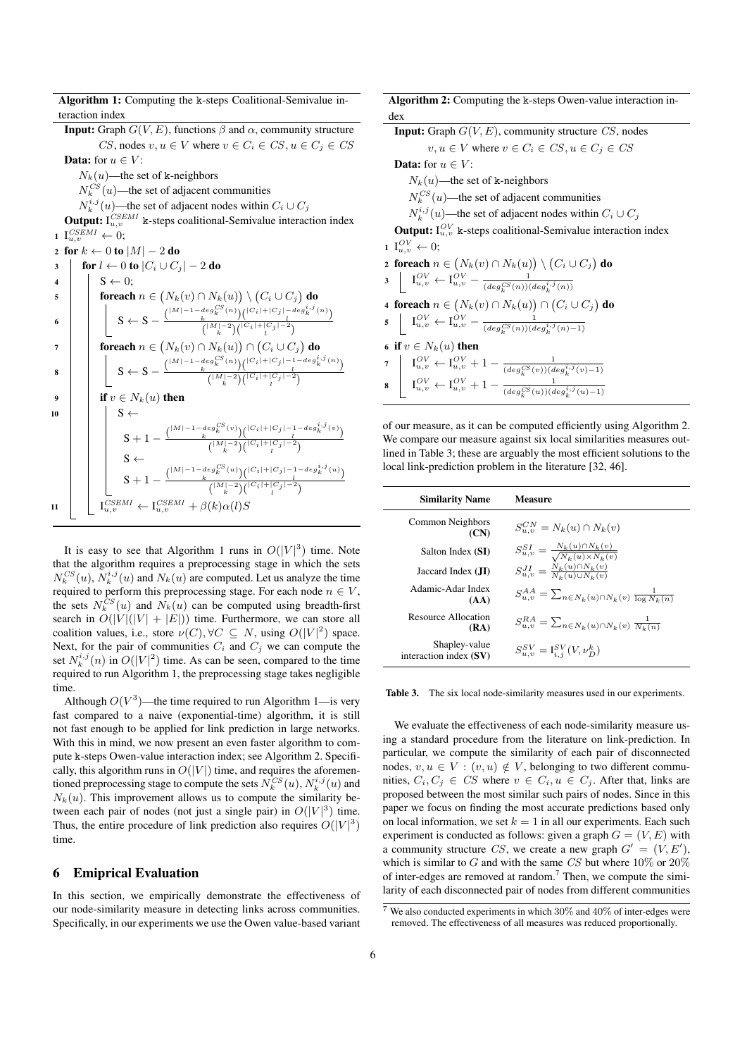Algorithm 1: Computing the k-steps Coalitional-Semivalue interaction index **Input:** Graph  $G(V, E)$ , functions  $\beta$  and  $\alpha$ , community structure CS, nodes  $v, u \in V$  where  $v \in C_i \in CS$ ,  $u \in C_j \in CS$ **Data:** for  $u \in V$ :  $N_k(u)$ —the set of k-neighbors  $N_k^{CS}(u)$ —the set of adjacent communities  $N_k^{i,j}(u)$ —the set of adjacent nodes within  $C_i \cup C_j$ **Output:**  $I_{u,v}^{CSEMI}$  k-steps coalitional-Semivalue interaction index  $1 \, I_{u,v}^{CSEMI} \leftarrow 0;$ 2 for  $k \leftarrow 0$  to  $|M| - 2$  do 3 for  $l \leftarrow 0$  to  $|C_i \cup C_j| - 2$  do  $4 \mid S \leftarrow 0$ :  $\begin{array}{ll} \texttt{5} & \quad | \quad \quad \textbf{foreach} \; n \in \big( N_k(v) \cap N_k(u) \big) \setminus \big( C_i \cup C_j \big) \; \textbf{do} \end{array}$ 6  $S \leftarrow S - \frac{\binom{|M|-1-deg_k^{CS}(n)}{\binom{|C_i|+|C_j|-deg_k^{i,j}(n)}}}{\binom{|M|-2\lambda\sqrt{|C_i|+|C_j|-2\lambda}}{l}}$  $\binom{|M|-2}{k}\binom{|C_i|+|C_j|-2}{l}$  $\tau$  | | foreach  $n \in (N_k(v) \cap N_k(u)) \cap (C_i \cup C_j)$  do 8  $S \leftarrow S - \frac{\binom{|M|-1-\deg^{CS}_k(n)}{k} \binom{|C_i|+|C_j|-1-\deg^{i,j}_k(n)}{k}}{k}$  $\binom{|M|-2}{k}\binom{|C_i|+|C_j|-2}{l}$ 9 if  $v \in N_k(u)$  then  $10 \mid \cdot \cdot \cdot \cdot$  S  $\leftarrow$  $S+1-\frac{\binom{|M|-1-deg_k^{CS}(v))}k\binom{|C_i|+|C_j|-1-deg_k^{i,j}(v))}{k}}{ \frac{\binom{|M|-2\sqrt{|C_i|}+|C_j|-1}{k}}{k}}$  $\binom{|M|-2}{k}\binom{|C_i|+|C_j|-2}{l}$  $S \leftarrow$  $S + 1 - \frac{\binom{|M|-1-deg^{CS}_k(u)}{k}\binom{|C_i|+|C_j|-1-deg^{i,j}_k(u)}{k}}{\binom{|M|-2\sqrt{|C_i|+|C_j|-2}}{k}}$  $\binom{|M|-2}{k}\binom{|C_i|+|C_j|-2}{l}$ 11  $\left| \begin{array}{c} \text{I}_{u,v}^{CSEMI} \leftarrow \text{I}_{u,v}^{CSEMI} + \beta(k)\alpha(l)S \end{array} \right|$ 

It is easy to see that Algorithm 1 runs in  $O(|V|^3)$  time. Note that the algorithm requires a preprocessing stage in which the sets  $N_k^{CS}(u)$ ,  $N_k^{i,j}(u)$  and  $N_k(u)$  are computed. Let us analyze the time required to perform this preprocessing stage. For each node  $n \in V$ , the sets  $N_k^{CS}(u)$  and  $N_k(u)$  can be computed using breadth-first search in  $O(|V|(|V| + |E|))$  time. Furthermore, we can store all coalition values, i.e., store  $\nu(C), \forall C \subseteq N$ , using  $O(|V|^2)$  space. Next, for the pair of communities  $C_i$  and  $C_j$  we can compute the set  $N_k^{i,j}(n)$  in  $O(|V|^2)$  time. As can be seen, compared to the time required to run Algorithm 1, the preprocessing stage takes negligible time.

Although  $O(V^3)$ —the time required to run Algorithm 1—is very fast compared to a naive (exponential-time) algorithm, it is still not fast enough to be applied for link prediction in large networks. With this in mind, we now present an even faster algorithm to compute k-steps Owen-value interaction index; see Algorithm 2. Specifically, this algorithm runs in  $O(|V|)$  time, and requires the aforementioned preprocessing stage to compute the sets  $N_k^{CS}(u)$ ,  $N_k^{i,j}(u)$  and  $N_k(u)$ . This improvement allows us to compute the similarity between each pair of nodes (not just a single pair) in  $O(|V|^3)$  time. Thus, the entire procedure of link prediction also requires  $O(|V|^3)$ time.

## 6 Emiprical Evaluation

In this section, we empirically demonstrate the effectiveness of our node-similarity measure in detecting links across communities. Specifically, in our experiments we use the Owen value-based variant

Algorithm 2: Computing the k-steps Owen-value interaction index

|                          | <b>Input:</b> Graph $G(V, E)$ , community structure $CS$ , nodes                                                                                                                                                                   |  |  |  |  |  |
|--------------------------|------------------------------------------------------------------------------------------------------------------------------------------------------------------------------------------------------------------------------------|--|--|--|--|--|
|                          | $v, u \in V$ where $v \in C_i \in CS$ , $u \in C_j \in CS$                                                                                                                                                                         |  |  |  |  |  |
|                          | <b>Data:</b> for $u \in V$ :                                                                                                                                                                                                       |  |  |  |  |  |
|                          | $N_k(u)$ —the set of k-neighbors                                                                                                                                                                                                   |  |  |  |  |  |
|                          | $N_k^{CS}(u)$ —the set of adjacent communities                                                                                                                                                                                     |  |  |  |  |  |
|                          | $N_k^{i,j}(u)$ —the set of adjacent nodes within $C_i \cup C_j$                                                                                                                                                                    |  |  |  |  |  |
|                          | <b>Output:</b> $I_{u,v}^{OV}$ k-steps coalitional-Semivalue interaction index                                                                                                                                                      |  |  |  |  |  |
|                          | $1 \mathbb{I}_{u}^{OV} \leftarrow 0;$                                                                                                                                                                                              |  |  |  |  |  |
|                          | 2 foreach $n \in (N_k(v) \cap N_k(u)) \setminus (C_i \cup C_j)$ do                                                                                                                                                                 |  |  |  |  |  |
|                          | 3 $I_{u,v}^{OV} \leftarrow I_{u,v}^{OV} - \frac{1}{(deg_c^{CS}(n))(deg_v^{i,j}(n))}$                                                                                                                                               |  |  |  |  |  |
|                          | 4 foreach $n \in (N_k(v) \cap N_k(u)) \cap (C_i \cup C_j)$ do                                                                                                                                                                      |  |  |  |  |  |
|                          | 5 $I_{u,v}^{OV} \leftarrow I_{u,v}^{OV} - \frac{1}{(deg_c^{CS}(n))(deg_v^{i,j}(n)-1)}$                                                                                                                                             |  |  |  |  |  |
| 6 if $v \in N_k(u)$ then |                                                                                                                                                                                                                                    |  |  |  |  |  |
|                          |                                                                                                                                                                                                                                    |  |  |  |  |  |
|                          | 7 $\begin{array}{c c} \n7 & I_{u,v}^{OV} \leftarrow I_{u,v}^{OV} + 1 - \frac{1}{(deg_k^{CS}(v))(deg_k^{i,j}(v) - 1)} \n8 & I_{u,v}^{OV} \leftarrow I_{u,v}^{OV} + 1 - \frac{1}{(deg_k^{CS}(u))(deg_k^{i,j}(u) - 1)} \n\end{array}$ |  |  |  |  |  |

of our measure, as it can be computed efficiently using Algorithm 2. We compare our measure against six local similarities measures outlined in Table 3; these are arguably the most efficient solutions to the local link-prediction problem in the literature [32, 46].

| <b>Similarity Name</b>                  | Measure                                                                 |
|-----------------------------------------|-------------------------------------------------------------------------|
| Common Neighbors<br>(CN)                | $S_{u,v}^{CN} = N_k(u) \cap N_k(v)$                                     |
| Salton Index (SI)                       | $S_{u,v}^{SI} = \frac{N_k(u) \cap N_k(v)}{\sqrt{N_k(u) \times N_k(v)}}$ |
| Jaccard Index (JI)                      | $S_{u,v}^{JI} = \frac{N_k(u) \cap N_k(v)}{N_k(u) \cup N_k(v)}$          |
| Adamic-Adar Index<br>(AA)               | $S_{u,v}^{AA} = \sum_{n \in N_k(u) \cap N_k(v)} \frac{1}{\log N_k(n)}$  |
| Resource Allocation<br>(RA)             | $S_{u,v}^{RA} = \sum_{n \in N_k(u) \cap N_k(v)} \frac{1}{N_k(n)}$       |
| Shapley-value<br>interaction index (SV) | $S_{u,v}^{SV} = I_{i,j}^{SV}(V, \nu_{D}^{k})$                           |

Table 3. The six local node-similarity measures used in our experiments.

We evaluate the effectiveness of each node-similarity measure using a standard procedure from the literature on link-prediction. In particular, we compute the similarity of each pair of disconnected nodes,  $v, u \in V : (v, u) \notin V$ , belonging to two different communities,  $C_i, C_j \in CS$  where  $v \in C_i, u \in C_j$ . After that, links are proposed between the most similar such pairs of nodes. Since in this paper we focus on finding the most accurate predictions based only on local information, we set  $k = 1$  in all our experiments. Each such experiment is conducted as follows: given a graph  $G = (V, E)$  with a community structure CS, we create a new graph  $G' = (V, E')$ , which is similar to G and with the same CS but where  $10\%$  or  $20\%$ of inter-edges are removed at random.<sup>7</sup> Then, we compute the similarity of each disconnected pair of nodes from different communities

 $7$  We also conducted experiments in which  $30\%$  and  $40\%$  of inter-edges were removed. The effectiveness of all measures was reduced proportionally.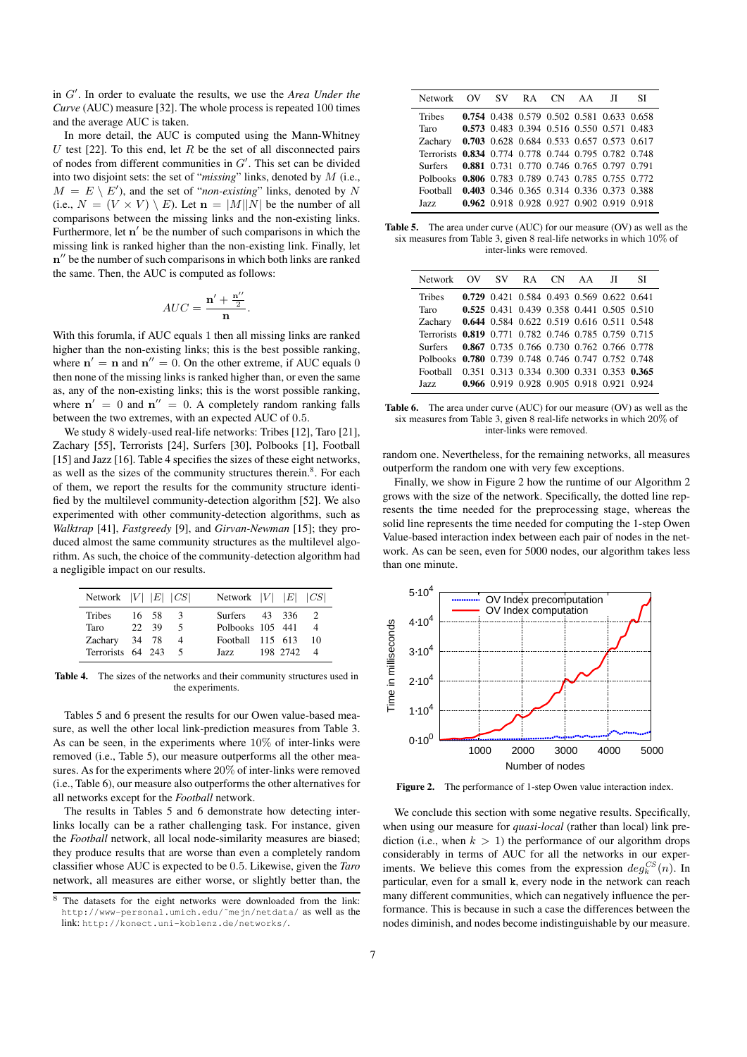in G'. In order to evaluate the results, we use the *Area Under the Curve* (AUC) measure [32]. The whole process is repeated 100 times and the average AUC is taken.

In more detail, the AUC is computed using the Mann-Whitney U test [22]. To this end, let  $R$  be the set of all disconnected pairs of nodes from different communities in  $G'$ . This set can be divided into two disjoint sets: the set of "*missing*" links, denoted by M (i.e.,  $M = E \setminus E'$ , and the set of "*non-existing*" links, denoted by N (i.e.,  $N = (V \times V) \setminus E$ ). Let  $\mathbf{n} = |M||N|$  be the number of all comparisons between the missing links and the non-existing links. Furthermore, let  $n'$  be the number of such comparisons in which the missing link is ranked higher than the non-existing link. Finally, let n" be the number of such comparisons in which both links are ranked the same. Then, the AUC is computed as follows:

$$
AUC = \frac{\mathbf{n}' + \frac{\mathbf{n}''}{2}}{\mathbf{n}}.
$$

With this forumla, if AUC equals 1 then all missing links are ranked higher than the non-existing links; this is the best possible ranking, where  $\mathbf{n}' = \mathbf{n}$  and  $\mathbf{n}'' = 0$ . On the other extreme, if AUC equals 0 then none of the missing links is ranked higher than, or even the same as, any of the non-existing links; this is the worst possible ranking, where  $\mathbf{n}' = 0$  and  $\mathbf{n}'' = 0$ . A completely random ranking falls between the two extremes, with an expected AUC of 0.5.

We study 8 widely-used real-life networks: Tribes [12], Taro [21], Zachary [55], Terrorists [24], Surfers [30], Polbooks [1], Football [15] and Jazz [16]. Table 4 specifies the sizes of these eight networks, as well as the sizes of the community structures therein.<sup>8</sup>. For each of them, we report the results for the community structure identified by the multilevel community-detection algorithm [52]. We also experimented with other community-detection algorithms, such as *Walktrap* [41], *Fastgreedy* [9], and *Girvan-Newman* [15]; they produced almost the same community structures as the multilevel algorithm. As such, the choice of the community-detection algorithm had a negligible impact on our results.

| Network $ V $ $ E $ $ CS $ |       |   | Network $ V $ $ E $ $ CS $ |  |
|----------------------------|-------|---|----------------------------|--|
| Tribes                     | 16 58 | 3 | Surfers $43$ 336           |  |
| Taro                       | 22 39 | 5 | Polbooks 105 441<br>4      |  |
| Zachary                    | 34 78 |   | Football 115 613<br>10     |  |
| Terrorists 64 243          |       |   | Jazz 198 2742<br>- 4       |  |

Table 4. The sizes of the networks and their community structures used in the experiments.

Tables 5 and 6 present the results for our Owen value-based measure, as well the other local link-prediction measures from Table 3. As can be seen, in the experiments where 10% of inter-links were removed (i.e., Table 5), our measure outperforms all the other measures. As for the experiments where 20% of inter-links were removed (i.e., Table 6), our measure also outperforms the other alternatives for all networks except for the *Football* network.

The results in Tables 5 and 6 demonstrate how detecting interlinks locally can be a rather challenging task. For instance, given the *Football* network, all local node-similarity measures are biased; they produce results that are worse than even a completely random classifier whose AUC is expected to be 0.5. Likewise, given the *Taro* network, all measures are either worse, or slightly better than, the

| Network                                              | OV SV RA                                  |  | CN AA II | SІ |
|------------------------------------------------------|-------------------------------------------|--|----------|----|
| <b>Tribes</b>                                        | 0.754 0.438 0.579 0.502 0.581 0.633 0.658 |  |          |    |
| Taro                                                 | 0.573 0.483 0.394 0.516 0.550 0.571 0.483 |  |          |    |
| Zachary                                              | 0.703 0.628 0.684 0.533 0.657 0.573 0.617 |  |          |    |
| Terrorists 0.834 0.774 0.778 0.744 0.795 0.782 0.748 |                                           |  |          |    |
| Surfers 0.881 0.731 0.770 0.746 0.765 0.797 0.791    |                                           |  |          |    |
| Polbooks 0.806 0.783 0.789 0.743 0.785 0.755 0.772   |                                           |  |          |    |
| Football                                             | 0.403 0.346 0.365 0.314 0.336 0.373 0.388 |  |          |    |
| Jazz.                                                | 0.962 0.918 0.928 0.927 0.902 0.919 0.918 |  |          |    |

Table 5. The area under curve (AUC) for our measure (OV) as well as the six measures from Table 3, given 8 real-life networks in which 10% of inter-links were removed.

| Network                                              | OV SV RA CN AA JI                         |  |  | SI. |
|------------------------------------------------------|-------------------------------------------|--|--|-----|
| <b>Tribes</b>                                        | 0.729 0.421 0.584 0.493 0.569 0.622 0.641 |  |  |     |
| Taro                                                 | 0.525 0.431 0.439 0.358 0.441 0.505 0.510 |  |  |     |
| Zacharv                                              | 0.644 0.584 0.622 0.519 0.616 0.511 0.548 |  |  |     |
| Terrorists 0.819 0.771 0.782 0.746 0.785 0.759 0.715 |                                           |  |  |     |
| Surfers                                              | 0.867 0.735 0.766 0.730 0.762 0.766 0.778 |  |  |     |
| Polbooks 0.780 0.739 0.748 0.746 0.747 0.752 0.748   |                                           |  |  |     |
| Football                                             | 0.351 0.313 0.334 0.300 0.331 0.353 0.365 |  |  |     |
| Jazz.                                                | 0.966 0.919 0.928 0.905 0.918 0.921 0.924 |  |  |     |

Table 6. The area under curve (AUC) for our measure (OV) as well as the six measures from Table 3, given 8 real-life networks in which 20% of inter-links were removed.

random one. Nevertheless, for the remaining networks, all measures outperform the random one with very few exceptions.

Finally, we show in Figure 2 how the runtime of our Algorithm 2 grows with the size of the network. Specifically, the dotted line represents the time needed for the preprocessing stage, whereas the solid line represents the time needed for computing the 1-step Owen Value-based interaction index between each pair of nodes in the network. As can be seen, even for 5000 nodes, our algorithm takes less than one minute.



Figure 2. The performance of 1-step Owen value interaction index.

We conclude this section with some negative results. Specifically, when using our measure for *quasi-local* (rather than local) link prediction (i.e., when  $k > 1$ ) the performance of our algorithm drops considerably in terms of AUC for all the networks in our experiments. We believe this comes from the expression  $deg_k^{CS}(n)$ . In particular, even for a small k, every node in the network can reach many different communities, which can negatively influence the performance. This is because in such a case the differences between the nodes diminish, and nodes become indistinguishable by our measure.

The datasets for the eight networks were downloaded from the link: http://www-personal.umich.edu/˜mejn/netdata/ as well as the link: http://konect.uni-koblenz.de/networks/.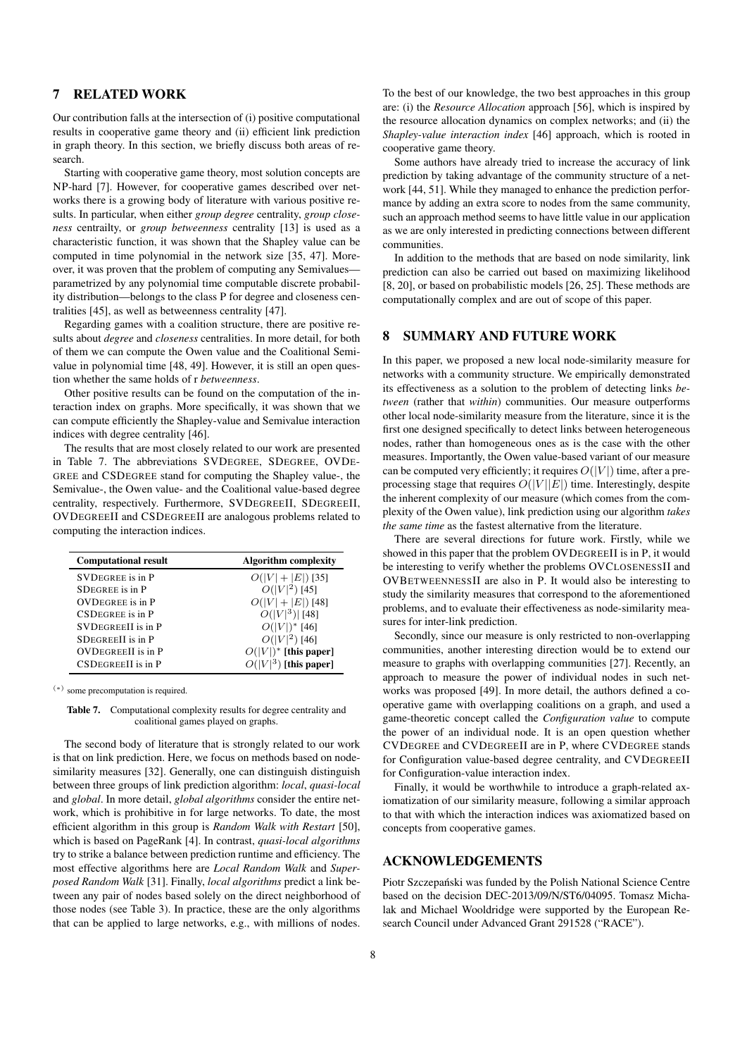## 7 RELATED WORK

Our contribution falls at the intersection of (i) positive computational results in cooperative game theory and (ii) efficient link prediction in graph theory. In this section, we briefly discuss both areas of research.

Starting with cooperative game theory, most solution concepts are NP-hard [7]. However, for cooperative games described over networks there is a growing body of literature with various positive results. In particular, when either *group degree* centrality, *group closeness* centrailty, or *group betweenness* centrality [13] is used as a characteristic function, it was shown that the Shapley value can be computed in time polynomial in the network size [35, 47]. Moreover, it was proven that the problem of computing any Semivalues parametrized by any polynomial time computable discrete probability distribution—belongs to the class P for degree and closeness centralities [45], as well as betweenness centrality [47].

Regarding games with a coalition structure, there are positive results about *degree* and *closeness* centralities. In more detail, for both of them we can compute the Owen value and the Coalitional Semivalue in polynomial time [48, 49]. However, it is still an open question whether the same holds of r *betweenness*.

Other positive results can be found on the computation of the interaction index on graphs. More specifically, it was shown that we can compute efficiently the Shapley-value and Semivalue interaction indices with degree centrality [46].

The results that are most closely related to our work are presented in Table 7. The abbreviations SVDEGREE, SDEGREE, OVDE-GREE and CSDEGREE stand for computing the Shapley value-, the Semivalue-, the Owen value- and the Coalitional value-based degree centrality, respectively. Furthermore, SVDEGREEII, SDEGREEII, OVDEGREEII and CSDEGREEII are analogous problems related to computing the interaction indices.

| <b>Computational result</b> | <b>Algorithm complexity</b> |
|-----------------------------|-----------------------------|
| <b>SVDEGREE</b> is in P     | $O( V  +  E )$ [35]         |
| <b>SDEGREE</b> is in P      | $O( V ^2)$ [45]             |
| <b>OVDEGREE</b> is in P     | $O( V + E )$ [48]           |
| <b>CSDEGREE</b> is in P     | $O( V ^3) [48]$             |
| <b>SVDEGREEII</b> is in P   | $O( V )^*$ [46]             |
| <b>SDEGREEII</b> is in P    | $O( V ^2)$ [46]             |
| <b>OVDEGREEII</b> is in P   | $O( V )^*$ [this paper]     |
| <b>CSDEGREEII</b> is in P   | $O( V ^3)$ [this paper]     |

(∗) some precomputation is required.

#### Table 7. Computational complexity results for degree centrality and coalitional games played on graphs.

The second body of literature that is strongly related to our work is that on link prediction. Here, we focus on methods based on nodesimilarity measures [32]. Generally, one can distinguish distinguish between three groups of link prediction algorithm: *local*, *quasi-local* and *global*. In more detail, *global algorithms* consider the entire network, which is prohibitive in for large networks. To date, the most efficient algorithm in this group is *Random Walk with Restart* [50], which is based on PageRank [4]. In contrast, *quasi-local algorithms* try to strike a balance between prediction runtime and efficiency. The most effective algorithms here are *Local Random Walk* and *Superposed Random Walk* [31]. Finally, *local algorithms* predict a link between any pair of nodes based solely on the direct neighborhood of those nodes (see Table 3). In practice, these are the only algorithms that can be applied to large networks, e.g., with millions of nodes.

To the best of our knowledge, the two best approaches in this group are: (i) the *Resource Allocation* approach [56], which is inspired by the resource allocation dynamics on complex networks; and (ii) the *Shapley-value interaction index* [46] approach, which is rooted in cooperative game theory.

Some authors have already tried to increase the accuracy of link prediction by taking advantage of the community structure of a network [44, 51]. While they managed to enhance the prediction performance by adding an extra score to nodes from the same community, such an approach method seems to have little value in our application as we are only interested in predicting connections between different communities.

In addition to the methods that are based on node similarity, link prediction can also be carried out based on maximizing likelihood [8, 20], or based on probabilistic models [26, 25]. These methods are computationally complex and are out of scope of this paper.

## 8 SUMMARY AND FUTURE WORK

In this paper, we proposed a new local node-similarity measure for networks with a community structure. We empirically demonstrated its effectiveness as a solution to the problem of detecting links *between* (rather that *within*) communities. Our measure outperforms other local node-similarity measure from the literature, since it is the first one designed specifically to detect links between heterogeneous nodes, rather than homogeneous ones as is the case with the other measures. Importantly, the Owen value-based variant of our measure can be computed very efficiently; it requires  $O(|V|)$  time, after a preprocessing stage that requires  $O(|V||E|)$  time. Interestingly, despite the inherent complexity of our measure (which comes from the complexity of the Owen value), link prediction using our algorithm *takes the same time* as the fastest alternative from the literature.

There are several directions for future work. Firstly, while we showed in this paper that the problem OVDEGREEII is in P, it would be interesting to verify whether the problems OVCLOSENESSII and OVBETWEENNESSII are also in P. It would also be interesting to study the similarity measures that correspond to the aforementioned problems, and to evaluate their effectiveness as node-similarity measures for inter-link prediction.

Secondly, since our measure is only restricted to non-overlapping communities, another interesting direction would be to extend our measure to graphs with overlapping communities [27]. Recently, an approach to measure the power of individual nodes in such networks was proposed [49]. In more detail, the authors defined a cooperative game with overlapping coalitions on a graph, and used a game-theoretic concept called the *Configuration value* to compute the power of an individual node. It is an open question whether CVDEGREE and CVDEGREEII are in P, where CVDEGREE stands for Configuration value-based degree centrality, and CVDEGREEII for Configuration-value interaction index.

Finally, it would be worthwhile to introduce a graph-related axiomatization of our similarity measure, following a similar approach to that with which the interaction indices was axiomatized based on concepts from cooperative games.

## ACKNOWLEDGEMENTS

Piotr Szczepański was funded by the Polish National Science Centre based on the decision DEC-2013/09/N/ST6/04095. Tomasz Michalak and Michael Wooldridge were supported by the European Research Council under Advanced Grant 291528 ("RACE").